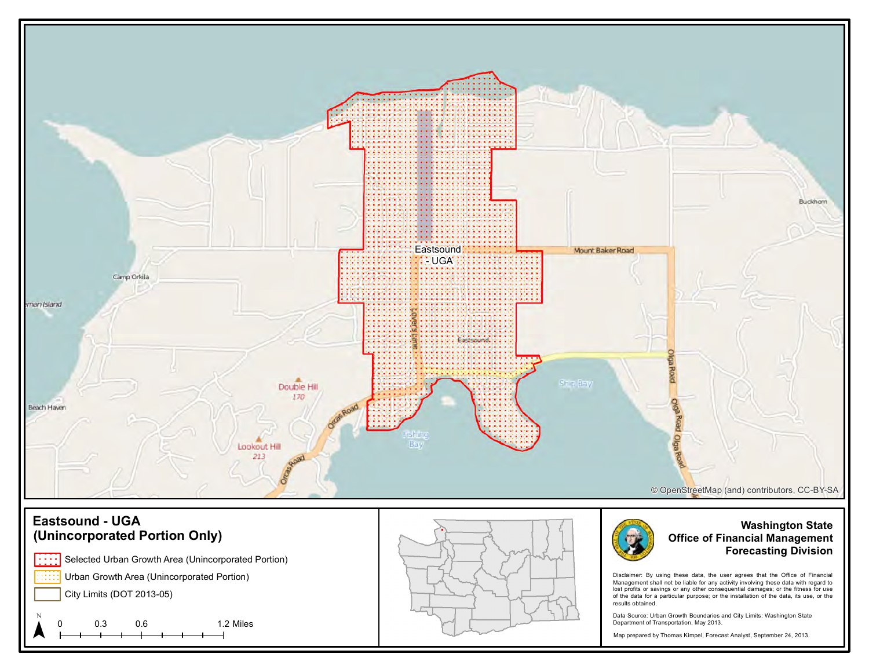